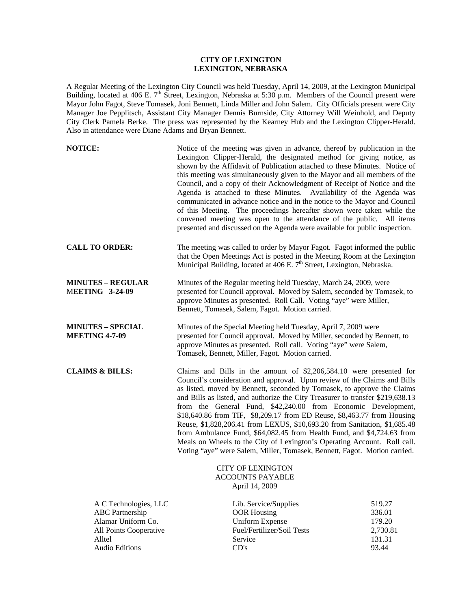## **CITY OF LEXINGTON LEXINGTON, NEBRASKA**

A Regular Meeting of the Lexington City Council was held Tuesday, April 14, 2009, at the Lexington Municipal Building, located at 406 E. 7<sup>th</sup> Street, Lexington, Nebraska at 5:30 p.m. Members of the Council present were Mayor John Fagot, Steve Tomasek, Joni Bennett, Linda Miller and John Salem. City Officials present were City Manager Joe Pepplitsch, Assistant City Manager Dennis Burnside, City Attorney Will Weinhold, and Deputy City Clerk Pamela Berke. The press was represented by the Kearney Hub and the Lexington Clipper-Herald. Also in attendance were Diane Adams and Bryan Bennett.

| <b>NOTICE:</b>                                                                                                                     | Notice of the meeting was given in advance, thereof by publication in the<br>Lexington Clipper-Herald, the designated method for giving notice, as<br>shown by the Affidavit of Publication attached to these Minutes. Notice of<br>this meeting was simultaneously given to the Mayor and all members of the<br>Council, and a copy of their Acknowledgment of Receipt of Notice and the<br>Agenda is attached to these Minutes. Availability of the Agenda was<br>communicated in advance notice and in the notice to the Mayor and Council<br>of this Meeting. The proceedings hereafter shown were taken while the<br>convened meeting was open to the attendance of the public. All items<br>presented and discussed on the Agenda were available for public inspection. |                                                           |
|------------------------------------------------------------------------------------------------------------------------------------|-------------------------------------------------------------------------------------------------------------------------------------------------------------------------------------------------------------------------------------------------------------------------------------------------------------------------------------------------------------------------------------------------------------------------------------------------------------------------------------------------------------------------------------------------------------------------------------------------------------------------------------------------------------------------------------------------------------------------------------------------------------------------------|-----------------------------------------------------------|
| <b>CALL TO ORDER:</b>                                                                                                              | The meeting was called to order by Mayor Fagot. Fagot informed the public<br>that the Open Meetings Act is posted in the Meeting Room at the Lexington<br>Municipal Building, located at 406 E. 7 <sup>th</sup> Street, Lexington, Nebraska.                                                                                                                                                                                                                                                                                                                                                                                                                                                                                                                                  |                                                           |
| <b>MINUTES – REGULAR</b><br><b>MEETING 3-24-09</b>                                                                                 | Minutes of the Regular meeting held Tuesday, March 24, 2009, were<br>presented for Council approval. Moved by Salem, seconded by Tomasek, to<br>approve Minutes as presented. Roll Call. Voting "aye" were Miller,<br>Bennett, Tomasek, Salem, Fagot. Motion carried.                                                                                                                                                                                                                                                                                                                                                                                                                                                                                                         |                                                           |
| <b>MINUTES – SPECIAL</b><br><b>MEETING 4-7-09</b>                                                                                  | Minutes of the Special Meeting held Tuesday, April 7, 2009 were<br>presented for Council approval. Moved by Miller, seconded by Bennett, to<br>approve Minutes as presented. Roll call. Voting "aye" were Salem,<br>Tomasek, Bennett, Miller, Fagot. Motion carried.                                                                                                                                                                                                                                                                                                                                                                                                                                                                                                          |                                                           |
| <b>CLAIMS &amp; BILLS:</b>                                                                                                         | Claims and Bills in the amount of $$2,206,584.10$ were presented for<br>Council's consideration and approval. Upon review of the Claims and Bills<br>as listed, moved by Bennett, seconded by Tomasek, to approve the Claims<br>and Bills as listed, and authorize the City Treasurer to transfer \$219,638.13<br>from the General Fund, \$42,240.00 from Economic Development,<br>\$18,640.86 from TIF, \$8,209.17 from ED Reuse, \$8,463.77 from Housing<br>Reuse, \$1,828,206.41 from LEXUS, \$10,693.20 from Sanitation, \$1,685.48<br>from Ambulance Fund, \$64,082.45 from Health Fund, and \$4,724.63 from<br>Meals on Wheels to the City of Lexington's Operating Account. Roll call.<br>Voting "aye" were Salem, Miller, Tomasek, Bennett, Fagot. Motion carried.    |                                                           |
|                                                                                                                                    | <b>CITY OF LEXINGTON</b><br><b>ACCOUNTS PAYABLE</b><br>April 14, 2009                                                                                                                                                                                                                                                                                                                                                                                                                                                                                                                                                                                                                                                                                                         |                                                           |
| A C Technologies, LLC<br><b>ABC</b> Partnership<br>Alamar Uniform Co.<br>All Points Cooperative<br>Alltel<br><b>Audio Editions</b> | Lib. Service/Supplies<br><b>OOR Housing</b><br><b>Uniform Expense</b><br>Fuel/Fertilizer/Soil Tests<br>Service<br>CD's                                                                                                                                                                                                                                                                                                                                                                                                                                                                                                                                                                                                                                                        | 519.27<br>336.01<br>179.20<br>2,730.81<br>131.31<br>93.44 |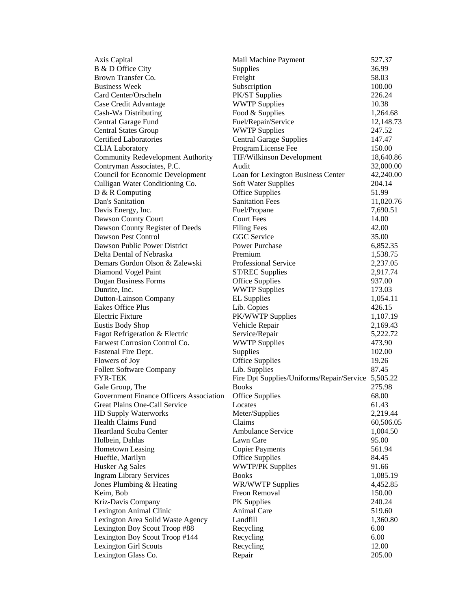| Axis Capital                                   | Mail Machine Payment                               | 527.37    |
|------------------------------------------------|----------------------------------------------------|-----------|
| B & D Office City                              | Supplies                                           | 36.99     |
| Brown Transfer Co.                             | Freight                                            | 58.03     |
| <b>Business Week</b>                           | Subscription                                       | 100.00    |
| Card Center/Orscheln                           | PK/ST Supplies                                     | 226.24    |
| Case Credit Advantage                          | <b>WWTP Supplies</b>                               | 10.38     |
| Cash-Wa Distributing                           | Food & Supplies                                    | 1,264.68  |
| Central Garage Fund                            | Fuel/Repair/Service                                | 12,148.73 |
| <b>Central States Group</b>                    | <b>WWTP Supplies</b>                               | 247.52    |
| <b>Certified Laboratories</b>                  | <b>Central Garage Supplies</b>                     | 147.47    |
| <b>CLIA</b> Laboratory                         | Program License Fee                                | 150.00    |
| <b>Community Redevelopment Authority</b>       | TIF/Wilkinson Development                          | 18,640.86 |
| Contryman Associates, P.C.                     | Audit                                              | 32,000.00 |
| <b>Council for Economic Development</b>        | Loan for Lexington Business Center                 | 42,240.00 |
| Culligan Water Conditioning Co.                | Soft Water Supplies                                | 204.14    |
| D & R Computing                                | <b>Office Supplies</b>                             | 51.99     |
| Dan's Sanitation                               | <b>Sanitation Fees</b>                             | 11,020.76 |
| Davis Energy, Inc.                             | Fuel/Propane                                       | 7,690.51  |
| Dawson County Court                            | <b>Court Fees</b>                                  | 14.00     |
| Dawson County Register of Deeds                | <b>Filing Fees</b>                                 | 42.00     |
| Dawson Pest Control                            | <b>GGC</b> Service                                 | 35.00     |
| Dawson Public Power District                   | Power Purchase                                     | 6,852.35  |
| Delta Dental of Nebraska                       | Premium                                            | 1,538.75  |
| Demars Gordon Olson & Zalewski                 | Professional Service                               | 2,237.05  |
| Diamond Vogel Paint                            | <b>ST/REC Supplies</b>                             | 2,917.74  |
| <b>Dugan Business Forms</b>                    | <b>Office Supplies</b>                             | 937.00    |
| Dunrite, Inc.                                  | <b>WWTP Supplies</b>                               | 173.03    |
| <b>Dutton-Lainson Company</b>                  | <b>EL Supplies</b>                                 | 1,054.11  |
| <b>Eakes Office Plus</b>                       | Lib. Copies                                        | 426.15    |
| <b>Electric Fixture</b>                        | PK/WWTP Supplies                                   | 1,107.19  |
| <b>Eustis Body Shop</b>                        | Vehicle Repair                                     | 2,169.43  |
| Fagot Refrigeration & Electric                 | Service/Repair                                     | 5,222.72  |
| Farwest Corrosion Control Co.                  | <b>WWTP Supplies</b>                               | 473.90    |
| Fastenal Fire Dept.                            | Supplies                                           | 102.00    |
| Flowers of Joy                                 | <b>Office Supplies</b>                             | 19.26     |
| <b>Follett Software Company</b>                | Lib. Supplies                                      | 87.45     |
| <b>FYR-TEK</b>                                 | Fire Dpt Supplies/Uniforms/Repair/Service 5,505.22 |           |
| Gale Group, The                                | <b>Books</b>                                       | 275.98    |
| <b>Government Finance Officers Association</b> | <b>Office Supplies</b>                             | 68.00     |
| Great Plains One-Call Service                  | Locates                                            | 61.43     |
| <b>HD Supply Waterworks</b>                    | Meter/Supplies                                     | 2,219.44  |
| <b>Health Claims Fund</b>                      | Claims                                             | 60,506.05 |
| <b>Heartland Scuba Center</b>                  | <b>Ambulance Service</b>                           | 1,004.50  |
| Holbein, Dahlas                                | Lawn Care                                          | 95.00     |
| <b>Hometown Leasing</b>                        | <b>Copier Payments</b>                             | 561.94    |
| Hueftle, Marilyn                               | <b>Office Supplies</b>                             | 84.45     |
| Husker Ag Sales                                | <b>WWTP/PK Supplies</b>                            | 91.66     |
| <b>Ingram Library Services</b>                 | <b>Books</b>                                       | 1,085.19  |
| Jones Plumbing & Heating                       | WR/WWTP Supplies                                   | 4,452.85  |
| Keim, Bob                                      | Freon Removal                                      | 150.00    |
| Kriz-Davis Company                             | PK Supplies                                        | 240.24    |
| Lexington Animal Clinic                        | Animal Care                                        | 519.60    |
| Lexington Area Solid Waste Agency              | Landfill                                           | 1,360.80  |
| Lexington Boy Scout Troop #88                  | Recycling                                          | 6.00      |
| Lexington Boy Scout Troop #144                 | Recycling                                          | 6.00      |
| <b>Lexington Girl Scouts</b>                   | Recycling                                          | 12.00     |
| Lexington Glass Co.                            | Repair                                             | 205.00    |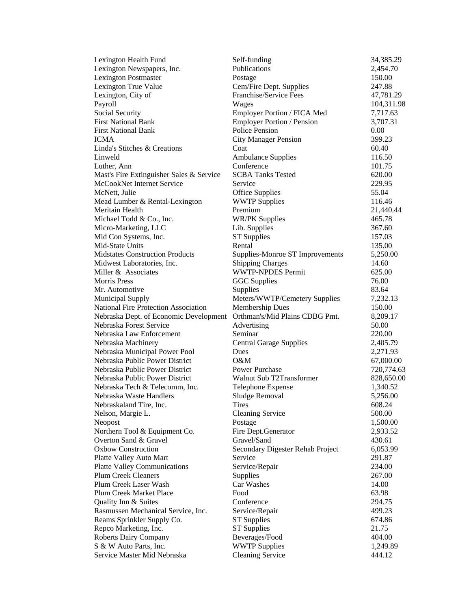| Lexington Health Fund                       | Self-funding                      | 34,385.29  |
|---------------------------------------------|-----------------------------------|------------|
| Lexington Newspapers, Inc.                  | Publications                      | 2,454.70   |
| <b>Lexington Postmaster</b>                 | Postage                           | 150.00     |
| Lexington True Value                        | Cem/Fire Dept. Supplies           | 247.88     |
| Lexington, City of                          | Franchise/Service Fees            | 47,781.29  |
| Payroll                                     | Wages                             | 104,311.98 |
| Social Security                             | Employer Portion / FICA Med       | 7,717.63   |
| <b>First National Bank</b>                  | <b>Employer Portion / Pension</b> | 3,707.31   |
| <b>First National Bank</b>                  | <b>Police Pension</b>             | 0.00       |
| ICMA                                        | <b>City Manager Pension</b>       | 399.23     |
| Linda's Stitches & Creations                | Coat                              | 60.40      |
| Linweld                                     | <b>Ambulance Supplies</b>         | 116.50     |
| Luther, Ann                                 | Conference                        | 101.75     |
| Mast's Fire Extinguisher Sales & Service    | <b>SCBA Tanks Tested</b>          | 620.00     |
| McCookNet Internet Service                  | Service                           | 229.95     |
| McNett, Julie                               | Office Supplies                   | 55.04      |
| Mead Lumber & Rental-Lexington              | <b>WWTP Supplies</b>              | 116.46     |
| Meritain Health                             | Premium                           | 21,440.44  |
| Michael Todd & Co., Inc.                    | <b>WR/PK Supplies</b>             | 465.78     |
| Micro-Marketing, LLC                        | Lib. Supplies                     | 367.60     |
| Mid Con Systems, Inc.                       | <b>ST Supplies</b>                | 157.03     |
| Mid-State Units                             | Rental                            | 135.00     |
| <b>Midstates Construction Products</b>      | Supplies-Monroe ST Improvements   | 5,250.00   |
| Midwest Laboratories, Inc.                  | <b>Shipping Charges</b>           | 14.60      |
| Miller & Associates                         | <b>WWTP-NPDES Permit</b>          | 625.00     |
| <b>Morris Press</b>                         | <b>GGC</b> Supplies               | 76.00      |
| Mr. Automotive                              | Supplies                          | 83.64      |
| <b>Municipal Supply</b>                     | Meters/WWTP/Cemetery Supplies     | 7,232.13   |
| <b>National Fire Protection Association</b> | Membership Dues                   | 150.00     |
| Nebraska Dept. of Economic Development      | Orthman's/Mid Plains CDBG Pmt.    | 8,209.17   |
| Nebraska Forest Service                     | Advertising                       | 50.00      |
| Nebraska Law Enforcement                    | Seminar                           | 220.00     |
| Nebraska Machinery                          | <b>Central Garage Supplies</b>    | 2,405.79   |
| Nebraska Municipal Power Pool               | Dues                              | 2,271.93   |
| Nebraska Public Power District              | $O\&M$                            | 67,000.00  |
| Nebraska Public Power District              | <b>Power Purchase</b>             | 720,774.63 |
| Nebraska Public Power District              | Walnut Sub T2Transformer          | 828,650.00 |
| Nebraska Tech & Telecomm, Inc.              | Telephone Expense                 | 1,340.52   |
| Nebraska Waste Handlers                     | Sludge Removal                    | 5,256.00   |
| Nebraskaland Tire, Inc.                     | Tires                             | 608.24     |
| Nelson, Margie L.                           | <b>Cleaning Service</b>           | 500.00     |
| Neopost                                     | Postage                           | 1,500.00   |
| Northern Tool & Equipment Co.               | Fire Dept.Generator               | 2,933.52   |
| Overton Sand & Gravel                       | Gravel/Sand                       | 430.61     |
| <b>Oxbow Construction</b>                   | Secondary Digester Rehab Project  | 6,053.99   |
| Platte Valley Auto Mart                     | Service                           | 291.87     |
| <b>Platte Valley Communications</b>         | Service/Repair                    | 234.00     |
| <b>Plum Creek Cleaners</b>                  | Supplies                          | 267.00     |
| Plum Creek Laser Wash                       | Car Washes                        | 14.00      |
| Plum Creek Market Place                     | Food                              | 63.98      |
| Quality Inn & Suites                        | Conference                        | 294.75     |
| Rasmussen Mechanical Service, Inc.          | Service/Repair                    | 499.23     |
| Reams Sprinkler Supply Co.                  | <b>ST</b> Supplies                | 674.86     |
| Repco Marketing, Inc.                       | <b>ST Supplies</b>                | 21.75      |
| <b>Roberts Dairy Company</b>                | Beverages/Food                    | 404.00     |
| S & W Auto Parts, Inc.                      | <b>WWTP Supplies</b>              | 1,249.89   |
| Service Master Mid Nebraska                 | <b>Cleaning Service</b>           | 444.12     |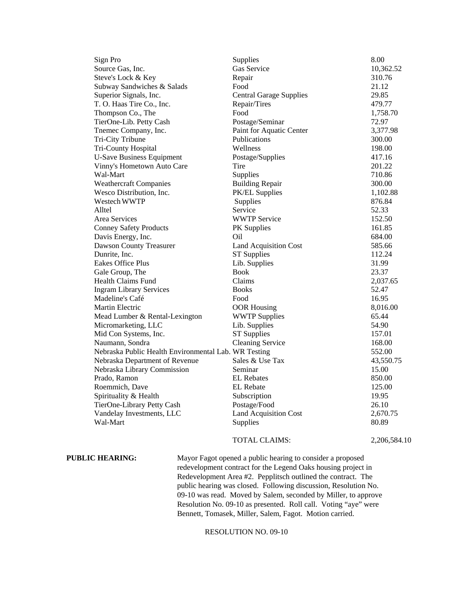| Sign Pro                                             | Supplies                       | 8.00         |
|------------------------------------------------------|--------------------------------|--------------|
| Source Gas, Inc.                                     | Gas Service                    | 10,362.52    |
| Steve's Lock & Key                                   | Repair                         | 310.76       |
| Subway Sandwiches & Salads                           | Food                           | 21.12        |
| Superior Signals, Inc.                               | <b>Central Garage Supplies</b> | 29.85        |
| T. O. Haas Tire Co., Inc.                            | Repair/Tires                   | 479.77       |
| Thompson Co., The                                    | Food                           | 1,758.70     |
| TierOne-Lib. Petty Cash                              | Postage/Seminar                | 72.97        |
| Tnemec Company, Inc.                                 | Paint for Aquatic Center       | 3,377.98     |
| Tri-City Tribune                                     | Publications                   | 300.00       |
| Tri-County Hospital                                  | Wellness                       | 198.00       |
| <b>U-Save Business Equipment</b>                     | Postage/Supplies               | 417.16       |
| Vinny's Hometown Auto Care                           | Tire                           | 201.22       |
| Wal-Mart                                             | Supplies                       | 710.86       |
| <b>Weathercraft Companies</b>                        | <b>Building Repair</b>         | 300.00       |
| Wesco Distribution, Inc.                             | PK/EL Supplies                 | 1,102.88     |
| Westech WWTP                                         | Supplies                       | 876.84       |
| Alltel                                               | Service                        | 52.33        |
| Area Services                                        | <b>WWTP Service</b>            | 152.50       |
| <b>Conney Safety Products</b>                        | <b>PK</b> Supplies             | 161.85       |
| Davis Energy, Inc.                                   | Oil                            | 684.00       |
| Dawson County Treasurer                              | <b>Land Acquisition Cost</b>   | 585.66       |
| Dunrite, Inc.                                        | <b>ST Supplies</b>             | 112.24       |
| Eakes Office Plus                                    | Lib. Supplies                  | 31.99        |
| Gale Group, The                                      | <b>Book</b>                    | 23.37        |
| Health Claims Fund                                   | Claims                         | 2,037.65     |
| <b>Ingram Library Services</b>                       | <b>Books</b>                   | 52.47        |
| Madeline's Café                                      | Food                           | 16.95        |
| Martin Electric                                      | <b>OOR Housing</b>             | 8,016.00     |
| Mead Lumber & Rental-Lexington                       | <b>WWTP Supplies</b>           | 65.44        |
| Micromarketing, LLC                                  | Lib. Supplies                  | 54.90        |
| Mid Con Systems, Inc.                                | <b>ST Supplies</b>             | 157.01       |
| Naumann, Sondra                                      | <b>Cleaning Service</b>        | 168.00       |
| Nebraska Public Health Environmental Lab. WR Testing |                                | 552.00       |
| Nebraska Department of Revenue                       | Sales & Use Tax                | 43,550.75    |
| Nebraska Library Commission                          | Seminar                        | 15.00        |
| Prado, Ramon                                         | <b>EL</b> Rebates              | 850.00       |
| Roemmich, Dave                                       | <b>EL</b> Rebate               | 125.00       |
| Spirituality & Health                                | Subscription                   | 19.95        |
| TierOne-Library Petty Cash                           | Postage/Food                   | 26.10        |
| Vandelay Investments, LLC                            | <b>Land Acquisition Cost</b>   | 2,670.75     |
| Wal-Mart                                             | Supplies                       | 80.89        |
|                                                      | <b>TOTAL CLAIMS:</b>           | 2,206,584.10 |

**PUBLIC HEARING:** Mayor Fagot opened a public hearing to consider a proposed redevelopment contract for the Legend Oaks housing project in Redevelopment Area #2. Pepplitsch outlined the contract. The public hearing was closed. Following discussion, Resolution No. 09-10 was read. Moved by Salem, seconded by Miller, to approve Resolution No. 09-10 as presented. Roll call. Voting "aye" were Bennett, Tomasek, Miller, Salem, Fagot. Motion carried.

### RESOLUTION NO. 09-10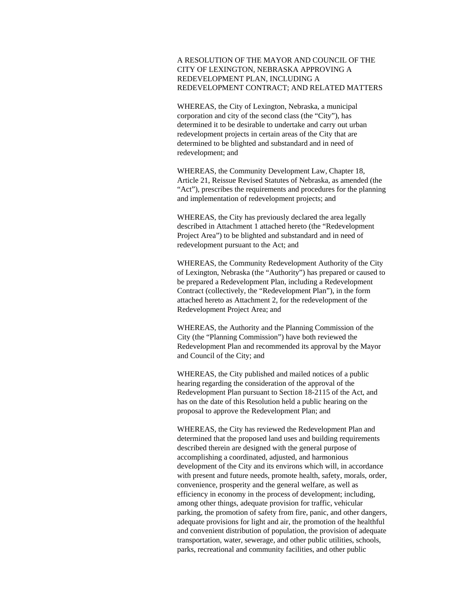## A RESOLUTION OF THE MAYOR AND COUNCIL OF THE CITY OF LEXINGTON, NEBRASKA APPROVING A REDEVELOPMENT PLAN, INCLUDING A REDEVELOPMENT CONTRACT; AND RELATED MATTERS

WHEREAS, the City of Lexington, Nebraska, a municipal corporation and city of the second class (the "City"), has determined it to be desirable to undertake and carry out urban redevelopment projects in certain areas of the City that are determined to be blighted and substandard and in need of redevelopment; and

WHEREAS, the Community Development Law, Chapter 18, Article 21, Reissue Revised Statutes of Nebraska, as amended (the "Act"), prescribes the requirements and procedures for the planning and implementation of redevelopment projects; and

WHEREAS, the City has previously declared the area legally described in Attachment 1 attached hereto (the "Redevelopment Project Area") to be blighted and substandard and in need of redevelopment pursuant to the Act; and

WHEREAS, the Community Redevelopment Authority of the City of Lexington, Nebraska (the "Authority") has prepared or caused to be prepared a Redevelopment Plan, including a Redevelopment Contract (collectively, the "Redevelopment Plan"), in the form attached hereto as Attachment 2, for the redevelopment of the Redevelopment Project Area; and

WHEREAS, the Authority and the Planning Commission of the City (the "Planning Commission") have both reviewed the Redevelopment Plan and recommended its approval by the Mayor and Council of the City; and

WHEREAS, the City published and mailed notices of a public hearing regarding the consideration of the approval of the Redevelopment Plan pursuant to Section 18-2115 of the Act, and has on the date of this Resolution held a public hearing on the proposal to approve the Redevelopment Plan; and

WHEREAS, the City has reviewed the Redevelopment Plan and determined that the proposed land uses and building requirements described therein are designed with the general purpose of accomplishing a coordinated, adjusted, and harmonious development of the City and its environs which will, in accordance with present and future needs, promote health, safety, morals, order, convenience, prosperity and the general welfare, as well as efficiency in economy in the process of development; including, among other things, adequate provision for traffic, vehicular parking, the promotion of safety from fire, panic, and other dangers, adequate provisions for light and air, the promotion of the healthful and convenient distribution of population, the provision of adequate transportation, water, sewerage, and other public utilities, schools, parks, recreational and community facilities, and other public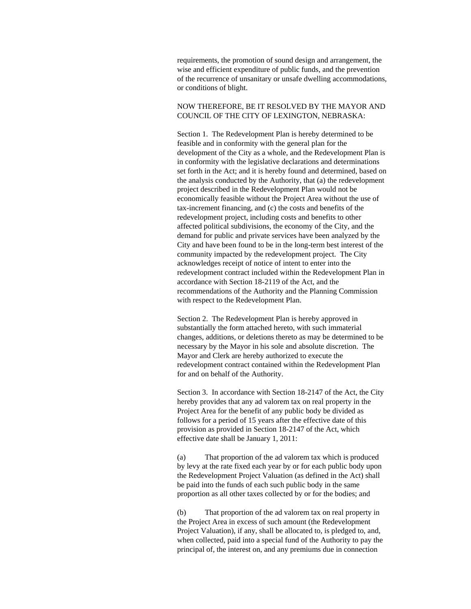requirements, the promotion of sound design and arrangement, the wise and efficient expenditure of public funds, and the prevention of the recurrence of unsanitary or unsafe dwelling accommodations, or conditions of blight.

# NOW THEREFORE, BE IT RESOLVED BY THE MAYOR AND COUNCIL OF THE CITY OF LEXINGTON, NEBRASKA:

Section 1. The Redevelopment Plan is hereby determined to be feasible and in conformity with the general plan for the development of the City as a whole, and the Redevelopment Plan is in conformity with the legislative declarations and determinations set forth in the Act; and it is hereby found and determined, based on the analysis conducted by the Authority, that (a) the redevelopment project described in the Redevelopment Plan would not be economically feasible without the Project Area without the use of tax-increment financing, and (c) the costs and benefits of the redevelopment project, including costs and benefits to other affected political subdivisions, the economy of the City, and the demand for public and private services have been analyzed by the City and have been found to be in the long-term best interest of the community impacted by the redevelopment project. The City acknowledges receipt of notice of intent to enter into the redevelopment contract included within the Redevelopment Plan in accordance with Section 18-2119 of the Act, and the recommendations of the Authority and the Planning Commission with respect to the Redevelopment Plan.

Section 2. The Redevelopment Plan is hereby approved in substantially the form attached hereto, with such immaterial changes, additions, or deletions thereto as may be determined to be necessary by the Mayor in his sole and absolute discretion. The Mayor and Clerk are hereby authorized to execute the redevelopment contract contained within the Redevelopment Plan for and on behalf of the Authority.

Section 3. In accordance with Section 18-2147 of the Act, the City hereby provides that any ad valorem tax on real property in the Project Area for the benefit of any public body be divided as follows for a period of 15 years after the effective date of this provision as provided in Section 18-2147 of the Act, which effective date shall be January 1, 2011:

(a) That proportion of the ad valorem tax which is produced by levy at the rate fixed each year by or for each public body upon the Redevelopment Project Valuation (as defined in the Act) shall be paid into the funds of each such public body in the same proportion as all other taxes collected by or for the bodies; and

(b) That proportion of the ad valorem tax on real property in the Project Area in excess of such amount (the Redevelopment Project Valuation), if any, shall be allocated to, is pledged to, and, when collected, paid into a special fund of the Authority to pay the principal of, the interest on, and any premiums due in connection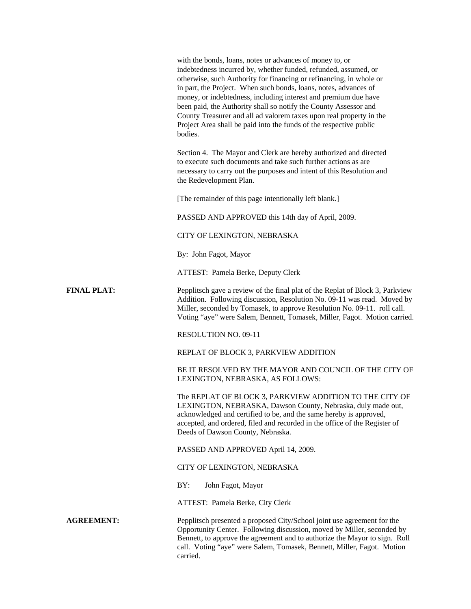|                    | with the bonds, loans, notes or advances of money to, or<br>indebtedness incurred by, whether funded, refunded, assumed, or<br>otherwise, such Authority for financing or refinancing, in whole or<br>in part, the Project. When such bonds, loans, notes, advances of<br>money, or indebtedness, including interest and premium due have<br>been paid, the Authority shall so notify the County Assessor and<br>County Treasurer and all ad valorem taxes upon real property in the<br>Project Area shall be paid into the funds of the respective public<br>bodies. |
|--------------------|-----------------------------------------------------------------------------------------------------------------------------------------------------------------------------------------------------------------------------------------------------------------------------------------------------------------------------------------------------------------------------------------------------------------------------------------------------------------------------------------------------------------------------------------------------------------------|
|                    | Section 4. The Mayor and Clerk are hereby authorized and directed<br>to execute such documents and take such further actions as are<br>necessary to carry out the purposes and intent of this Resolution and<br>the Redevelopment Plan.                                                                                                                                                                                                                                                                                                                               |
|                    | [The remainder of this page intentionally left blank.]                                                                                                                                                                                                                                                                                                                                                                                                                                                                                                                |
|                    | PASSED AND APPROVED this 14th day of April, 2009.                                                                                                                                                                                                                                                                                                                                                                                                                                                                                                                     |
|                    | CITY OF LEXINGTON, NEBRASKA                                                                                                                                                                                                                                                                                                                                                                                                                                                                                                                                           |
|                    | By: John Fagot, Mayor                                                                                                                                                                                                                                                                                                                                                                                                                                                                                                                                                 |
|                    | ATTEST: Pamela Berke, Deputy Clerk                                                                                                                                                                                                                                                                                                                                                                                                                                                                                                                                    |
| <b>FINAL PLAT:</b> | Pepplitsch gave a review of the final plat of the Replat of Block 3, Parkview<br>Addition. Following discussion, Resolution No. 09-11 was read. Moved by<br>Miller, seconded by Tomasek, to approve Resolution No. 09-11. roll call.<br>Voting "aye" were Salem, Bennett, Tomasek, Miller, Fagot. Motion carried.                                                                                                                                                                                                                                                     |
|                    | <b>RESOLUTION NO. 09-11</b>                                                                                                                                                                                                                                                                                                                                                                                                                                                                                                                                           |
|                    | REPLAT OF BLOCK 3, PARKVIEW ADDITION                                                                                                                                                                                                                                                                                                                                                                                                                                                                                                                                  |
|                    | BE IT RESOLVED BY THE MAYOR AND COUNCIL OF THE CITY OF<br>LEXINGTON, NEBRASKA, AS FOLLOWS:                                                                                                                                                                                                                                                                                                                                                                                                                                                                            |
|                    | The REPLAT OF BLOCK 3, PARKVIEW ADDITION TO THE CITY OF<br>LEXINGTON, NEBRASKA, Dawson County, Nebraska, duly made out,<br>acknowledged and certified to be, and the same hereby is approved,<br>accepted, and ordered, filed and recorded in the office of the Register of<br>Deeds of Dawson County, Nebraska.                                                                                                                                                                                                                                                      |
|                    | PASSED AND APPROVED April 14, 2009.                                                                                                                                                                                                                                                                                                                                                                                                                                                                                                                                   |
|                    | CITY OF LEXINGTON, NEBRASKA                                                                                                                                                                                                                                                                                                                                                                                                                                                                                                                                           |
|                    | BY:<br>John Fagot, Mayor                                                                                                                                                                                                                                                                                                                                                                                                                                                                                                                                              |
|                    | ATTEST: Pamela Berke, City Clerk                                                                                                                                                                                                                                                                                                                                                                                                                                                                                                                                      |
| <b>AGREEMENT:</b>  | Pepplitsch presented a proposed City/School joint use agreement for the<br>Opportunity Center. Following discussion, moved by Miller, seconded by<br>Bennett, to approve the agreement and to authorize the Mayor to sign. Roll<br>call. Voting "aye" were Salem, Tomasek, Bennett, Miller, Fagot. Motion<br>carried.                                                                                                                                                                                                                                                 |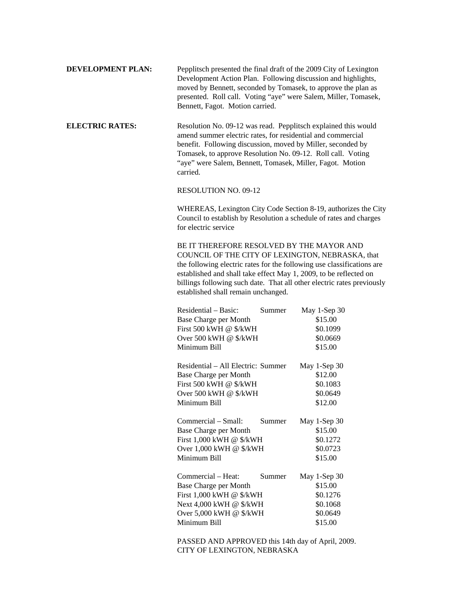| <b>DEVELOPMENT PLAN:</b> | Pepplitsch presented the final draft of the 2009 City of Lexington |
|--------------------------|--------------------------------------------------------------------|
|                          | Development Action Plan. Following discussion and highlights,      |
|                          | moved by Bennett, seconded by Tomasek, to approve the plan as      |
|                          | presented. Roll call. Voting "aye" were Salem, Miller, Tomasek,    |
|                          | Bennett, Fagot. Motion carried.                                    |

**ELECTRIC RATES:** Resolution No. 09-12 was read. Pepplitsch explained this would amend summer electric rates, for residential and commercial benefit. Following discussion, moved by Miller, seconded by Tomasek, to approve Resolution No. 09-12. Roll call. Voting "aye" were Salem, Bennett, Tomasek, Miller, Fagot. Motion carried.

## RESOLUTION NO. 09-12

WHEREAS, Lexington City Code Section 8-19, authorizes the City Council to establish by Resolution a schedule of rates and charges for electric service

BE IT THEREFORE RESOLVED BY THE MAYOR AND COUNCIL OF THE CITY OF LEXINGTON, NEBRASKA, that the following electric rates for the following use classifications are established and shall take effect May 1, 2009, to be reflected on billings following such date. That all other electric rates previously established shall remain unchanged.

| Residential – Basic:               | Summer | May 1-Sep 30 |
|------------------------------------|--------|--------------|
| Base Charge per Month              |        | \$15.00      |
| First 500 kWH @ \$/kWH             |        | \$0.1099     |
| Over 500 kWH @ \$/kWH              |        | \$0.0669     |
| Minimum Bill                       |        | \$15.00      |
| Residential – All Electric: Summer |        | May 1-Sep 30 |
| Base Charge per Month              |        | \$12.00      |
| First 500 kWH @ \$/kWH             |        | \$0.1083     |
| Over 500 kWH @ \$/kWH              |        | \$0.0649     |
| Minimum Bill                       |        | \$12.00      |
| Commercial – Small:                | Summer | May 1-Sep 30 |
| Base Charge per Month              |        | \$15.00      |
| First 1,000 kWH @ \$/kWH           |        | \$0.1272     |
| Over 1,000 kWH @ \$/kWH            |        | \$0.0723     |
| Minimum Bill                       |        | \$15.00      |
| Commercial – Heat:                 | Summer | May 1-Sep 30 |
| Base Charge per Month              |        | \$15.00      |
| First 1,000 kWH @ \$/kWH           |        | \$0.1276     |
| Next 4,000 kWH @ \$/kWH            |        | \$0.1068     |
| Over 5,000 kWH @ \$/kWH            |        | \$0.0649     |
| Minimum Bill                       |        | \$15.00      |
|                                    |        |              |

PASSED AND APPROVED this 14th day of April, 2009. CITY OF LEXINGTON, NEBRASKA